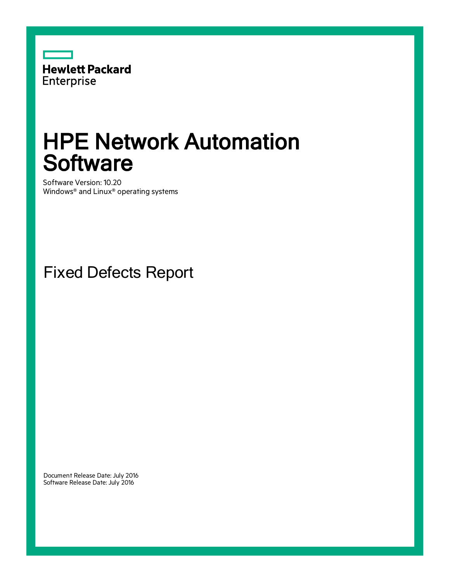

## HPE Network Automation **Software**

Software Version: 10.20 Windows® and Linux® operating systems

Fixed Defects Report

Document Release Date: July 2016 Software Release Date: July 2016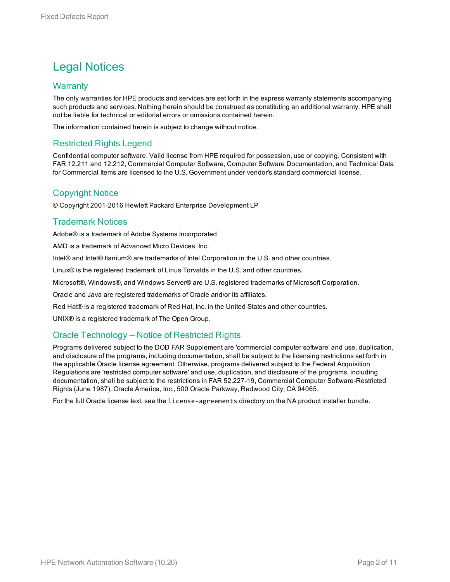### Legal Notices

#### **Warranty**

The only warranties for HPE products and services are set forth in the express warranty statements accompanying such products and services. Nothing herein should be construed as constituting an additional warranty. HPE shall not be liable for technical or editorial errors or omissions contained herein.

The information contained herein is subject to change without notice.

#### Restricted Rights Legend

Confidential computer software. Valid license from HPE required for possession, use or copying. Consistent with FAR 12.211 and 12.212, Commercial Computer Software, Computer Software Documentation, and Technical Data for Commercial Items are licensed to the U.S. Government under vendor's standard commercial license.

#### Copyright Notice

© Copyright 2001-2016 Hewlett Packard Enterprise Development LP

### Trademark Notices

Adobe® is a trademark of Adobe Systems Incorporated.

AMD is a trademark of Advanced Micro Devices, Inc.

Intel® and Intel® Itanium® are trademarks of Intel Corporation in the U.S. and other countries.

Linux® is the registered trademark of Linus Torvalds in the U.S. and other countries.

Microsoft®, Windows®, and Windows Server® are U.S. registered trademarks of Microsoft Corporation.

Oracle and Java are registered trademarks of Oracle and/or its affiliates.

Red Hat® is a registered trademark of Red Hat, Inc. in the United States and other countries.

UNIX® is a registered trademark of The Open Group.

### Oracle Technology — Notice of Restricted Rights

Programs delivered subject to the DOD FAR Supplement are 'commercial computer software' and use, duplication, and disclosure of the programs, including documentation, shall be subject to the licensing restrictions set forth in the applicable Oracle license agreement. Otherwise, programs delivered subject to the Federal Acquisition Regulations are 'restricted computer software' and use, duplication, and disclosure of the programs, including documentation, shall be subject to the restrictions in FAR 52.227-19, Commercial Computer Software-Restricted Rights (June 1987). Oracle America, Inc., 500 Oracle Parkway, Redwood City, CA 94065.

For the full Oracle license text, see the license-agreements directory on the NA product installer bundle.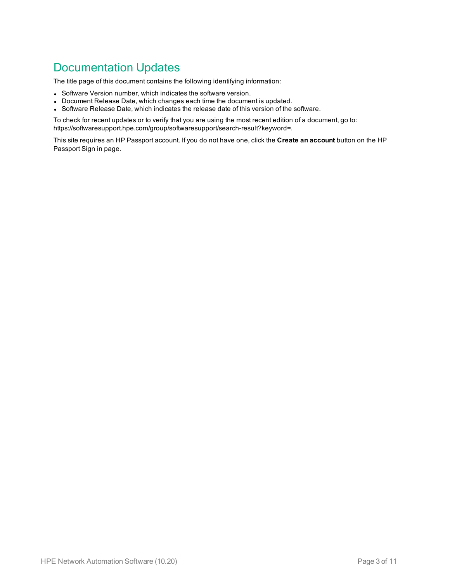### Documentation Updates

The title page of this document contains the following identifying information:

- Software Version number, which indicates the software version.
- Document Release Date, which changes each time the document is updated.
- Software Release Date, which indicates the release date of this version of the software.

To check for recent updates or to verify that you are using the most recent edition of a document, go to: https://softwaresupport.hpe.com/group/softwaresupport/search-result?keyword=.

This site requires an HP Passport account. If you do not have one, click the **Create an account** button on the HP Passport Sign in page.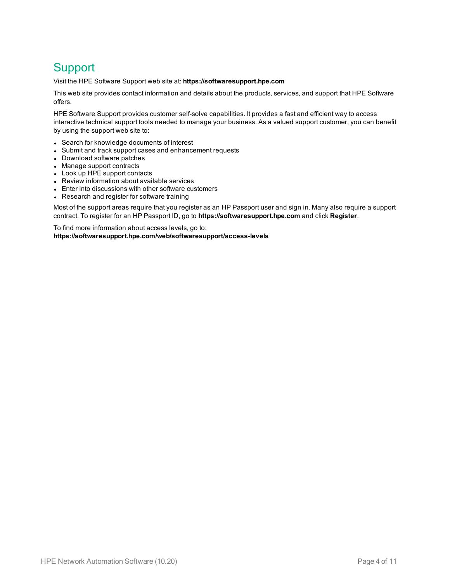### **Support**

Visit the HPE Software Support web site at: **https://softwaresupport.hpe.com**

This web site provides contact information and details about the products, services, and support that HPE Software offers.

HPE Software Support provides customer self-solve capabilities. It provides a fast and efficient way to access interactive technical support tools needed to manage your business. As a valued support customer, you can benefit by using the support web site to:

- Search for knowledge documents of interest
- Submit and track support cases and enhancement requests
- Download software patches
- Manage support contracts
- Look up HPE support contacts
- Review information about available services
- Enter into discussions with other software customers
- Research and register for software training

Most of the support areas require that you register as an HP Passport user and sign in. Many also require a support contract. To register for an HP Passport ID, go to **https://softwaresupport.hpe.com** and click **Register**.

To find more information about access levels, go to: **https://softwaresupport.hpe.com/web/softwaresupport/access-levels**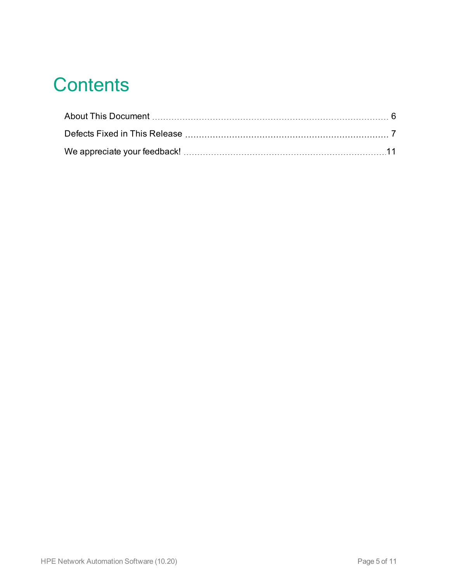# **Contents**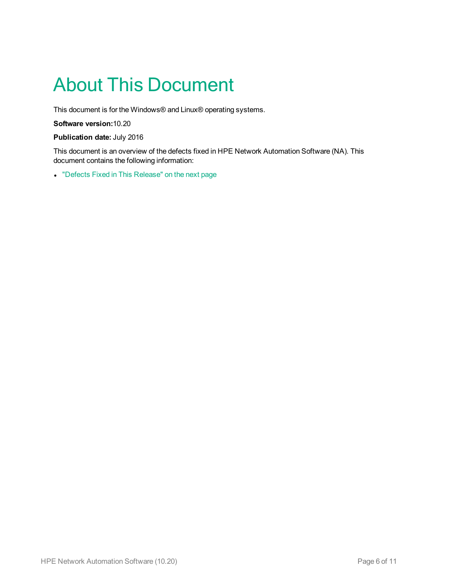# <span id="page-5-0"></span>About This Document

This document is for the Windows® and Linux® operating systems.

**Software version:**10.20

**Publication date:** July 2016

This document is an overview of the defects fixed in HPE Network Automation Software (NA). This document contains the following information:

• "Defects Fixed in This [Release"](#page-6-0) on the next page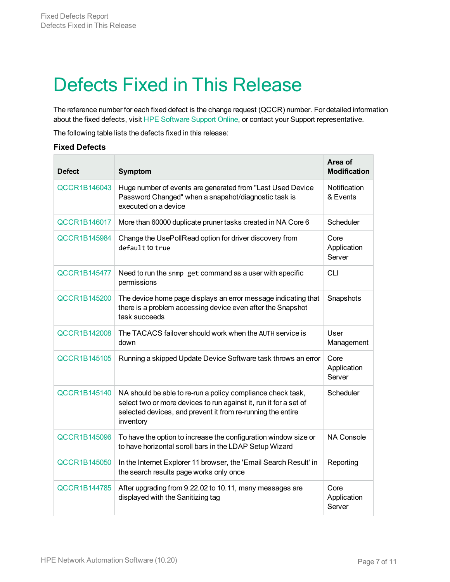## <span id="page-6-0"></span>Defects Fixed in This Release

The reference number for each fixed defect is the change request (QCCR) number. For detailed information about the fixed defects, visit HPE [Software](https://softwaresupport.hp.com/) Support Online, or contact your Support representative.

The following table lists the defects fixed in this release:

#### **Fixed Defects**

| <b>Defect</b>       | <b>Symptom</b>                                                                                                                                                                                               | Area of<br><b>Modification</b> |
|---------------------|--------------------------------------------------------------------------------------------------------------------------------------------------------------------------------------------------------------|--------------------------------|
| QCCR1B146043        | Huge number of events are generated from "Last Used Device<br>Password Changed" when a snapshot/diagnostic task is<br>executed on a device                                                                   | Notification<br>& Events       |
| QCCR1B146017        | More than 60000 duplicate pruner tasks created in NA Core 6                                                                                                                                                  | Scheduler                      |
| <b>QCCR1B145984</b> | Change the UsePollRead option for driver discovery from<br>default to true                                                                                                                                   | Core<br>Application<br>Server  |
| <b>QCCR1B145477</b> | Need to run the snmp get command as a user with specific<br>permissions                                                                                                                                      | <b>CLI</b>                     |
| QCCR1B145200        | The device home page displays an error message indicating that<br>there is a problem accessing device even after the Snapshot<br>task succeeds                                                               | Snapshots                      |
| <b>QCCR1B142008</b> | The TACACS failover should work when the AUTH service is<br>down                                                                                                                                             | User<br>Management             |
| <b>QCCR1B145105</b> | Running a skipped Update Device Software task throws an error                                                                                                                                                | Core<br>Application<br>Server  |
| QCCR1B145140        | NA should be able to re-run a policy compliance check task,<br>select two or more devices to run against it, run it for a set of<br>selected devices, and prevent it from re-running the entire<br>inventory | Scheduler                      |
| <b>QCCR1B145096</b> | To have the option to increase the configuration window size or<br>to have horizontal scroll bars in the LDAP Setup Wizard                                                                                   | <b>NA Console</b>              |
| QCCR1B145050        | In the Internet Explorer 11 browser, the 'Email Search Result' in<br>the search results page works only once                                                                                                 | Reporting                      |
| <b>QCCR1B144785</b> | After upgrading from 9.22.02 to 10.11, many messages are<br>displayed with the Sanitizing tag                                                                                                                | Core<br>Application<br>Server  |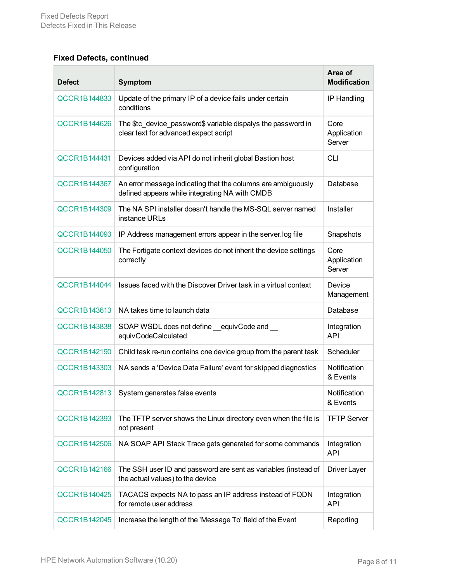### **Fixed Defects, continued**

| <b>Defect</b>       | Symptom                                                                                                        | Area of<br><b>Modification</b> |
|---------------------|----------------------------------------------------------------------------------------------------------------|--------------------------------|
| QCCR1B144833        | Update of the primary IP of a device fails under certain<br>conditions                                         | IP Handling                    |
| <b>QCCR1B144626</b> | The \$tc_device_password\$ variable dispalys the password in<br>clear text for advanced expect script          | Core<br>Application<br>Server  |
| QCCR1B144431        | Devices added via API do not inherit global Bastion host<br>configuration                                      | <b>CLI</b>                     |
| QCCR1B144367        | An error message indicating that the columns are ambiguously<br>defined appears while integrating NA with CMDB | Database                       |
| QCCR1B144309        | The NA SPI installer doesn't handle the MS-SQL server named<br>instance URLs                                   | Installer                      |
| <b>QCCR1B144093</b> | IP Address management errors appear in the server.log file                                                     | Snapshots                      |
| <b>QCCR1B144050</b> | The Fortigate context devices do not inherit the device settings<br>correctly                                  | Core<br>Application<br>Server  |
| QCCR1B144044        | Issues faced with the Discover Driver task in a virtual context                                                | Device<br>Management           |
| QCCR1B143613        | NA takes time to launch data                                                                                   | Database                       |
| <b>QCCR1B143838</b> | SOAP WSDL does not define equivCode and<br>equivCodeCalculated                                                 | Integration<br><b>API</b>      |
| QCCR1B142190        | Child task re-run contains one device group from the parent task                                               | Scheduler                      |
| QCCR1B143303        | NA sends a 'Device Data Failure' event for skipped diagnostics                                                 | Notification<br>& Events       |
| QCCR1B142813        | System generates false events                                                                                  | Notification<br>& Events       |
| QCCR1B142393        | The TFTP server shows the Linux directory even when the file is<br>not present                                 | <b>TFTP Server</b>             |
| QCCR1B142506        | NA SOAP API Stack Trace gets generated for some commands                                                       | Integration<br><b>API</b>      |
| <b>QCCR1B142166</b> | The SSH user ID and password are sent as variables (instead of<br>the actual values) to the device             | Driver Layer                   |
| <b>QCCR1B140425</b> | TACACS expects NA to pass an IP address instead of FQDN<br>for remote user address                             | Integration<br><b>API</b>      |
| <b>QCCR1B142045</b> | Increase the length of the 'Message To' field of the Event                                                     | Reporting                      |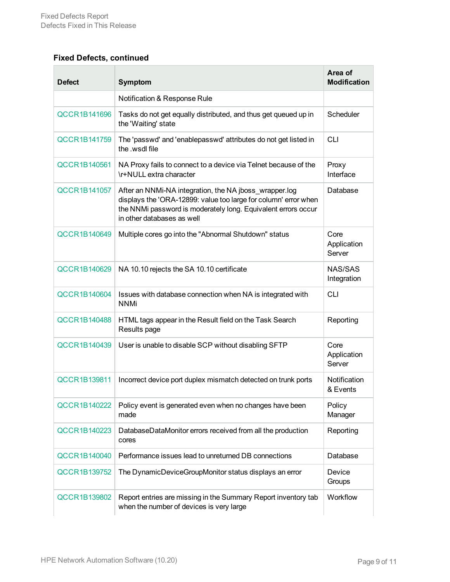### **Fixed Defects, continued**

| <b>Defect</b>       | <b>Symptom</b>                                                                                                                                                                                                           | Area of<br><b>Modification</b> |
|---------------------|--------------------------------------------------------------------------------------------------------------------------------------------------------------------------------------------------------------------------|--------------------------------|
|                     | Notification & Response Rule                                                                                                                                                                                             |                                |
| QCCR1B141696        | Tasks do not get equally distributed, and thus get queued up in<br>the 'Waiting' state                                                                                                                                   | Scheduler                      |
| QCCR1B141759        | The 'passwd' and 'enablepasswd' attributes do not get listed in<br>the .wsdl file                                                                                                                                        | <b>CLI</b>                     |
| QCCR1B140561        | NA Proxy fails to connect to a device via Telnet because of the<br>\r+NULL extra character                                                                                                                               | Proxy<br>Interface             |
| QCCR1B141057        | After an NNMi-NA integration, the NA jboss_wrapper.log<br>displays the 'ORA-12899: value too large for column' error when<br>the NNMi password is moderately long. Equivalent errors occur<br>in other databases as well | Database                       |
| QCCR1B140649        | Multiple cores go into the "Abnormal Shutdown" status                                                                                                                                                                    | Core<br>Application<br>Server  |
| QCCR1B140629        | NA 10.10 rejects the SA 10.10 certificate                                                                                                                                                                                | NAS/SAS<br>Integration         |
| QCCR1B140604        | Issues with database connection when NA is integrated with<br><b>NNMi</b>                                                                                                                                                | <b>CLI</b>                     |
| <b>QCCR1B140488</b> | HTML tags appear in the Result field on the Task Search<br>Results page                                                                                                                                                  | Reporting                      |
| QCCR1B140439        | User is unable to disable SCP without disabling SFTP                                                                                                                                                                     | Core<br>Application<br>Server  |
| QCCR1B139811        | Incorrect device port duplex mismatch detected on trunk ports                                                                                                                                                            | Notification<br>& Events       |
| QCCR1B140222        | Policy event is generated even when no changes have been<br>made                                                                                                                                                         | Policy<br>Manager              |
| QCCR1B140223        | DatabaseDataMonitor errors received from all the production<br>cores                                                                                                                                                     | Reporting                      |
| QCCR1B140040        | Performance issues lead to unreturned DB connections                                                                                                                                                                     | Database                       |
| QCCR1B139752        | The DynamicDeviceGroupMonitor status displays an error                                                                                                                                                                   | Device<br>Groups               |
| <b>QCCR1B139802</b> | Report entries are missing in the Summary Report inventory tab<br>when the number of devices is very large                                                                                                               | Workflow                       |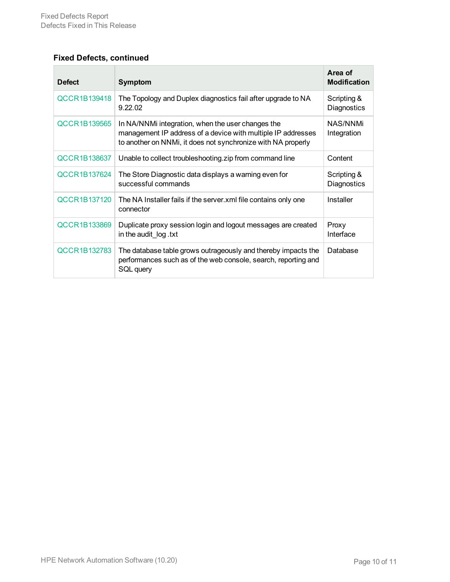### **Fixed Defects, continued**

| <b>Defect</b>       | <b>Symptom</b>                                                                                                                                                                    | Area of<br><b>Modification</b> |
|---------------------|-----------------------------------------------------------------------------------------------------------------------------------------------------------------------------------|--------------------------------|
| <b>QCCR1B139418</b> | The Topology and Duplex diagnostics fail after upgrade to NA<br>9.22.02                                                                                                           | Scripting &<br>Diagnostics     |
| <b>QCCR1B139565</b> | In NA/NNMi integration, when the user changes the<br>management IP address of a device with multiple IP addresses<br>to another on NNMi, it does not synchronize with NA properly | NAS/NNMi<br>Integration        |
| QCCR1B138637        | Unable to collect troubleshooting.zip from command line                                                                                                                           | Content                        |
| QCCR1B137624        | The Store Diagnostic data displays a warning even for<br>successful commands                                                                                                      | Scripting &<br>Diagnostics     |
| QCCR1B137120        | The NA Installer fails if the server xml file contains only one<br>connector                                                                                                      | Installer                      |
| QCCR1B133869        | Duplicate proxy session login and logout messages are created<br>in the audit log .txt                                                                                            | Proxy<br>Interface             |
| QCCR1B132783        | The database table grows outrageously and thereby impacts the<br>performances such as of the web console, search, reporting and<br>SQL query                                      | Database                       |